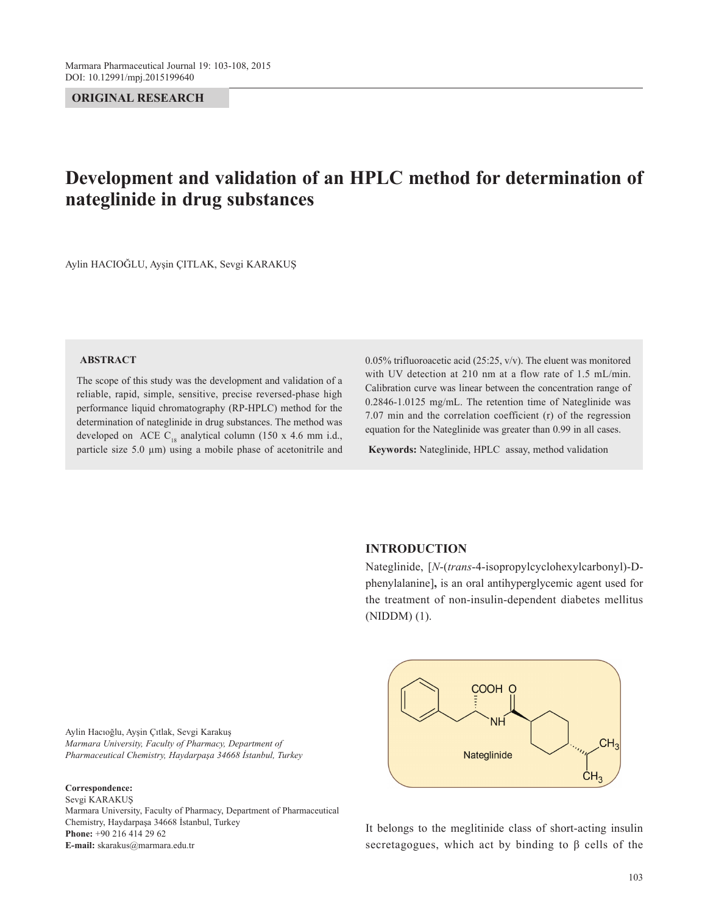## **ORIGINAL RESEARCH**

# **Development and validation of an HPLC method for determination of nateglinide in drug substances**

Aylin HACIOĞLU, Ayşin ÇITLAK, Sevgi KARAKUŞ

#### **ABSTRACT**

The scope of this study was the development and validation of a reliable, rapid, simple, sensitive, precise reversed-phase high performance liquid chromatography (RP-HPLC) method for the determination of nateglinide in drug substances. The method was developed on ACE  $C_{18}$  analytical column (150 x 4.6 mm i.d., particle size 5.0  $\mu$ m) using a mobile phase of acetonitrile and 0.05% trifluoroacetic acid (25:25, v/v). The eluent was monitored with UV detection at 210 nm at a flow rate of 1.5 mL/min. Calibration curve was linear between the concentration range of 0.2846-1.0125 mg/mL. The retention time of Nateglinide was 7.07 min and the correlation coefficient (r) of the regression equation for the Nateglinide was greater than 0.99 in all cases.

**Keywords:** Nateglinide, HPLC assay, method validation

# **INTRODUCTION**

Nateglinide, [*N*-(*trans*-4-isopropylcyclohexylcarbonyl)-Dphenylalanine]**,** is an oral antihyperglycemic agent used for the treatment of non-insulin-dependent diabetes mellitus (NIDDM) (1).

Aylin Hacıoğlu, Ayşin Çıtlak, Sevgi Karakuş *Marmara University, Faculty of Pharmacy, Department of Pharmaceutical Chemistry, Haydarpaşa 34668 İstanbul, Turkey*

#### **Correspondence:**

Sevgi KARAKUŞ Marmara University, Faculty of Pharmacy, Department of Pharmaceutical Chemistry, Haydarpaşa 34668 İstanbul, Turkey **Phone:** +90 216 414 29 62 **E-mail:** skarakus@marmara.edu.tr



It belongs to the meglitinide class of short-acting insulin secretagogues, which act by binding to  $\beta$  cells of the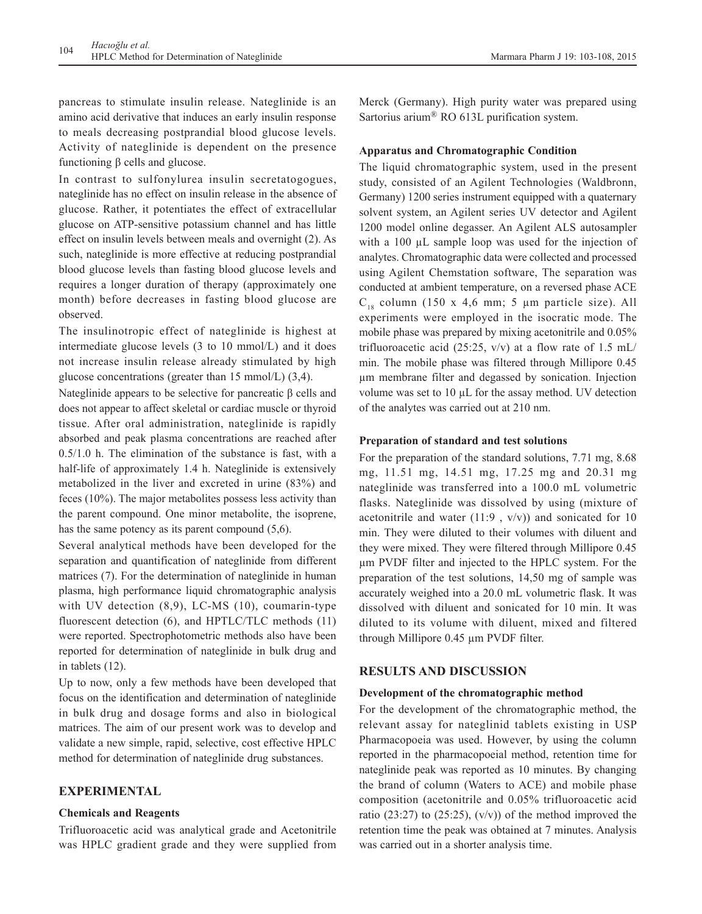pancreas to stimulate insulin release. Nateglinide is an amino acid derivative that induces an early insulin response to meals decreasing postprandial blood glucose levels. Activity of nateglinide is dependent on the presence functioning β cells and glucose.

In contrast to sulfonylurea insulin secretatogogues, nateglinide has no effect on insulin release in the absence of glucose. Rather, it potentiates the effect of extracellular glucose on ATP-sensitive potassium channel and has little effect on insulin levels between meals and overnight (2). As such, nateglinide is more effective at reducing postprandial blood glucose levels than fasting blood glucose levels and requires a longer duration of therapy (approximately one month) before decreases in fasting blood glucose are observed.

The insulinotropic effect of nateglinide is highest at intermediate glucose levels (3 to 10 mmol/L) and it does not increase insulin release already stimulated by high glucose concentrations (greater than 15 mmol/L) (3,4).

Nateglinide appears to be selective for pancreatic β cells and does not appear to affect skeletal or cardiac muscle or thyroid tissue. After oral administration, nateglinide is rapidly absorbed and peak plasma concentrations are reached after 0.5/1.0 h. The elimination of the substance is fast, with a half-life of approximately 1.4 h. Nateglinide is extensively metabolized in the liver and excreted in urine (83%) and feces (10%). The major metabolites possess less activity than the parent compound. One minor metabolite, the isoprene, has the same potency as its parent compound  $(5,6)$ .

Several analytical methods have been developed for the separation and quantification of nateglinide from different matrices (7). For the determination of nateglinide in human plasma, high performance liquid chromatographic analysis with UV detection  $(8,9)$ , LC-MS  $(10)$ , coumarin-type fluorescent detection (6), and HPTLC/TLC methods (11) were reported. Spectrophotometric methods also have been reported for determination of nateglinide in bulk drug and in tablets (12).

Up to now, only a few methods have been developed that focus on the identification and determination of nateglinide in bulk drug and dosage forms and also in biological matrices. The aim of our present work was to develop and validate a new simple, rapid, selective, cost effective HPLC method for determination of nateglinide drug substances.

# **EXPERIMENTAL**

### **Chemicals and Reagents**

Trifluoroacetic acid was analytical grade and Acetonitrile was HPLC gradient grade and they were supplied from

Merck (Germany). High purity water was prepared using Sartorius arium® RO 613L purification system.

## **Apparatus and Chromatographic Condition**

The liquid chromatographic system, used in the present study, consisted of an Agilent Technologies (Waldbronn, Germany) 1200 series instrument equipped with a quaternary solvent system, an Agilent series UV detector and Agilent 1200 model online degasser. An Agilent ALS autosampler with a 100 µL sample loop was used for the injection of analytes. Chromatographic data were collected and processed using Agilent Chemstation software, The separation was conducted at ambient temperature, on a reversed phase ACE  $C_{18}$  column (150 x 4,6 mm; 5 µm particle size). All experiments were employed in the isocratic mode. The mobile phase was prepared by mixing acetonitrile and 0.05% trifluoroacetic acid (25:25,  $v/v$ ) at a flow rate of 1.5 mL/ min. The mobile phase was filtered through Millipore 0.45 µm membrane filter and degassed by sonication. Injection volume was set to 10 µL for the assay method. UV detection of the analytes was carried out at 210 nm.

## **Preparation of standard and test solutions**

For the preparation of the standard solutions, 7.71 mg, 8.68 mg, 11.51 mg, 14.51 mg, 17.25 mg and 20.31 mg nateglinide was transferred into a 100.0 mL volumetric flasks. Nateglinide was dissolved by using (mixture of acetonitrile and water  $(11:9, v/v)$  and sonicated for 10 min. They were diluted to their volumes with diluent and they were mixed. They were filtered through Millipore 0.45 µm PVDF filter and injected to the HPLC system. For the preparation of the test solutions, 14,50 mg of sample was accurately weighed into a 20.0 mL volumetric flask. It was dissolved with diluent and sonicated for 10 min. It was diluted to its volume with diluent, mixed and filtered through Millipore 0.45 µm PVDF filter.

### **RESULTS AND DISCUSSION**

#### **Development of the chromatographic method**

For the development of the chromatographic method, the relevant assay for nateglinid tablets existing in USP Pharmacopoeia was used. However, by using the column reported in the pharmacopoeial method, retention time for nateglinide peak was reported as 10 minutes. By changing the brand of column (Waters to ACE) and mobile phase composition (acetonitrile and 0.05% trifluoroacetic acid ratio (23:27) to (25:25),  $(v/v)$ ) of the method improved the retention time the peak was obtained at 7 minutes. Analysis was carried out in a shorter analysis time.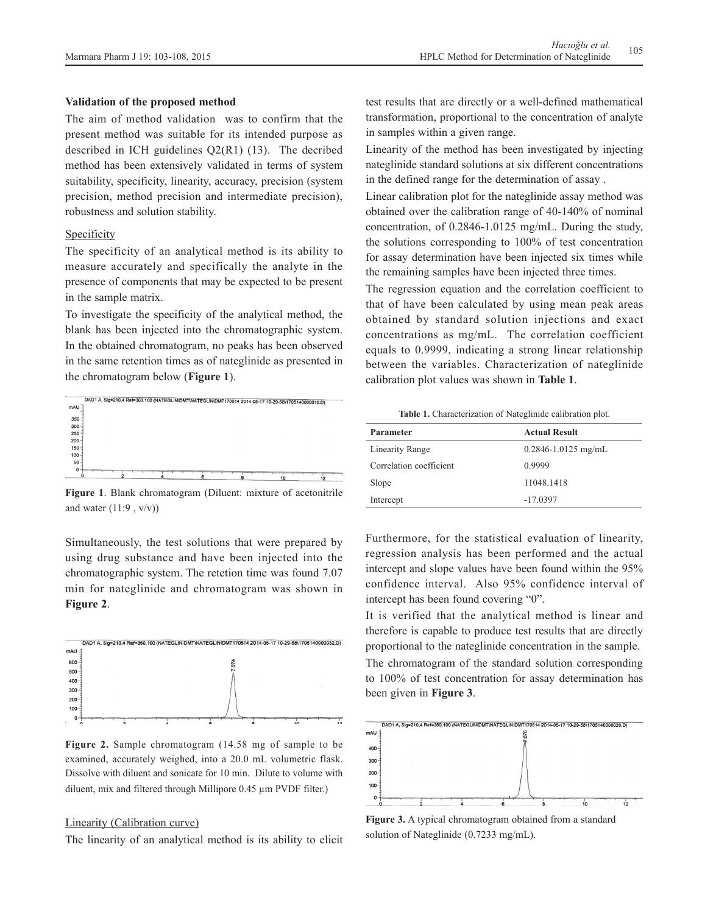#### **Validation of the proposed method**

The aim of method validation was to confirm that the present method was suitable for its intended purpose as described in ICH guidelines  $Q2(R1)$  (13). The decribed method has been extensively validated in terms of system suitability, specificity, linearity, accuracy, precision (system precision, method precision and intermediate precision), robustness and solution stability.

#### Specificity

The specificity of an analytical method is its ability to measure accurately and specifically the analyte in the presence of components that may be expected to be present in the sample matrix.

To investigate the specificity of the analytical method, the blank has been injected into the chromatographic system. In the obtained chromatogram, no peaks has been observed in the same retention times as of nateglinide as presented in the chromatogram below (**Figure 1**).



**Figure 1**. Blank chromatogram (Diluent: mixture of acetonitrile and water  $(11:9, v/v)$ 

Simultaneously, the test solutions that were prepared by using drug substance and have been injected into the chromatographic system. The retetion time was found 7.07 min for nateglinide and chromatogram was shown in **Figure 2**.



**Figure 2.** Sample chromatogram (14.58 mg of sample to be examined, accurately weighed, into a 20.0 mL volumetric flask. Dissolve with diluent and sonicate for 10 min. Dilute to volume with diluent, mix and filtered through Millipore 0.45 µm PVDF filter.)

## Linearity (Calibration curve)

The linearity of an analytical method is its ability to elicit

test results that are directly or a well-defined mathematical transformation, proportional to the concentration of analyte in samples within a given range.

Linearity of the method has been investigated by injecting nateglinide standard solutions at six different concentrations in the defined range for the determination of assay .

Linear calibration plot for the nateglinide assay method was obtained over the calibration range of 40-140% of nominal concentration, of 0.2846-1.0125 mg/mL. During the study, the solutions corresponding to 100% of test concentration for assay determination have been injected six times while the remaining samples have been injected three times.

The regression equation and the correlation coefficient to that of have been calculated by using mean peak areas obtained by standard solution injections and exact concentrations as mg/mL. The correlation coefficient equals to 0.9999, indicating a strong linear relationship between the variables. Characterization of nateglinide calibration plot values was shown in **Table 1**.

**Table 1.** Characterization of Nateglinide calibration plot.

| Parameter               | <b>Actual Result</b>    |
|-------------------------|-------------------------|
| Linearity Range         | $0.2846 - 1.0125$ mg/mL |
| Correlation coefficient | 0.9999                  |
| Slope                   | 11048.1418              |
| Intercept               | $-17.0397$              |

Furthermore, for the statistical evaluation of linearity, regression analysis has been performed and the actual intercept and slope values have been found within the 95% confidence interval. Also 95% confidence interval of intercept has been found covering "0".

It is verified that the analytical method is linear and therefore is capable to produce test results that are directly proportional to the nateglinide concentration in the sample. The chromatogram of the standard solution corresponding to 100% of test concentration for assay determination has been given in **Figure 3**.



**Figure 3.** A typical chromatogram obtained from a standard solution of Nateglinide (0.7233 mg/mL).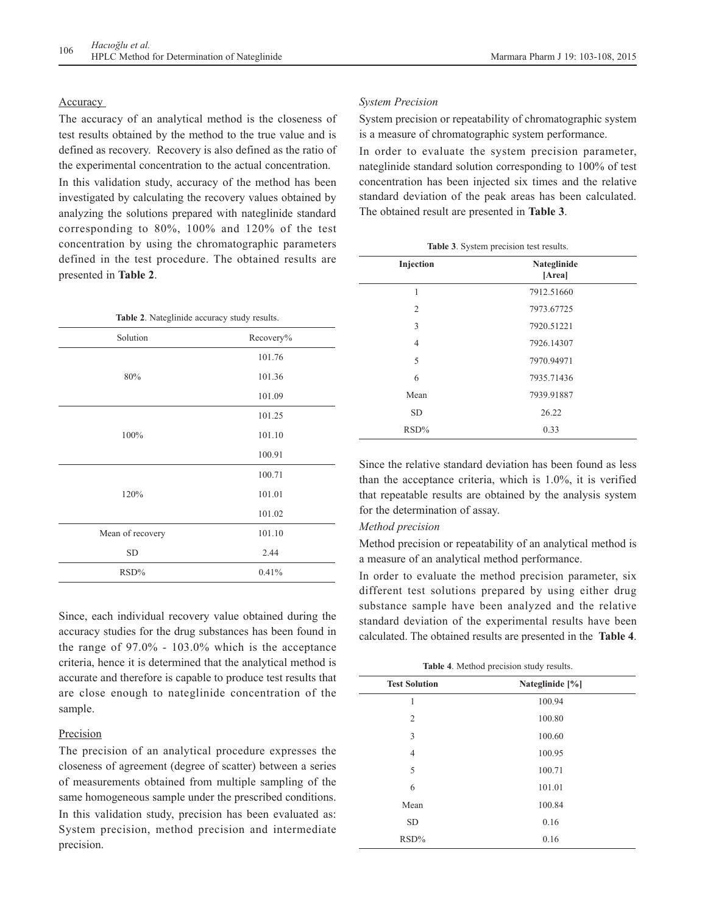## **Accuracy**

The accuracy of an analytical method is the closeness of test results obtained by the method to the true value and is defined as recovery. Recovery is also defined as the ratio of the experimental concentration to the actual concentration. In this validation study, accuracy of the method has been investigated by calculating the recovery values obtained by

analyzing the solutions prepared with nateglinide standard corresponding to 80%, 100% and 120% of the test concentration by using the chromatographic parameters defined in the test procedure. The obtained results are presented in **Table 2**.

| Table 2. Nateglinide accuracy study results. |           |  |
|----------------------------------------------|-----------|--|
| Solution                                     | Recovery% |  |
|                                              | 101.76    |  |
| 80%                                          | 101.36    |  |
|                                              | 101.09    |  |
|                                              | 101.25    |  |
| 100%                                         | 101.10    |  |
|                                              | 100.91    |  |
|                                              | 100.71    |  |
| 120%                                         | 101.01    |  |
|                                              | 101.02    |  |
| Mean of recovery                             | 101.10    |  |
| <b>SD</b>                                    | 2.44      |  |
| RSD%                                         | 0.41%     |  |

Since, each individual recovery value obtained during the accuracy studies for the drug substances has been found in the range of 97.0% - 103.0% which is the acceptance criteria, hence it is determined that the analytical method is accurate and therefore is capable to produce test results that are close enough to nateglinide concentration of the sample.

#### Precision

The precision of an analytical procedure expresses the closeness of agreement (degree of scatter) between a series of measurements obtained from multiple sampling of the same homogeneous sample under the prescribed conditions. In this validation study, precision has been evaluated as: System precision, method precision and intermediate precision.

#### *System Precision*

System precision or repeatability of chromatographic system is a measure of chromatographic system performance.

In order to evaluate the system precision parameter, nateglinide standard solution corresponding to 100% of test concentration has been injected six times and the relative standard deviation of the peak areas has been calculated. The obtained result are presented in **Table 3**.

| Table 3. System precision test results. |                       |  |
|-----------------------------------------|-----------------------|--|
| Injection                               | Nateglinide<br>[Area] |  |
| 1                                       | 7912.51660            |  |
| 2                                       | 7973.67725            |  |
| 3                                       | 7920.51221            |  |
| $\overline{4}$                          | 7926.14307            |  |
| 5                                       | 7970.94971            |  |
| 6                                       | 7935.71436            |  |
| Mean                                    | 7939.91887            |  |
| <b>SD</b>                               | 26.22                 |  |
| RSD%                                    | 0.33                  |  |

Since the relative standard deviation has been found as less than the acceptance criteria, which is 1.0%, it is verified that repeatable results are obtained by the analysis system for the determination of assay.

### *Method precision*

Method precision or repeatability of an analytical method is a measure of an analytical method performance.

In order to evaluate the method precision parameter, six different test solutions prepared by using either drug substance sample have been analyzed and the relative standard deviation of the experimental results have been calculated. The obtained results are presented in the **Table 4**.

| Table 4. Method precision study results. |                 |  |
|------------------------------------------|-----------------|--|
| <b>Test Solution</b>                     | Nateglinide [%] |  |
| 1                                        | 100.94          |  |
| $\overline{2}$                           | 100.80          |  |
| 3                                        | 100.60          |  |
| $\overline{4}$                           | 100.95          |  |
| 5                                        | 100.71          |  |
| 6                                        | 101.01          |  |
| Mean                                     | 100.84          |  |
| <b>SD</b>                                | 0.16            |  |
| RSD%                                     | 0.16            |  |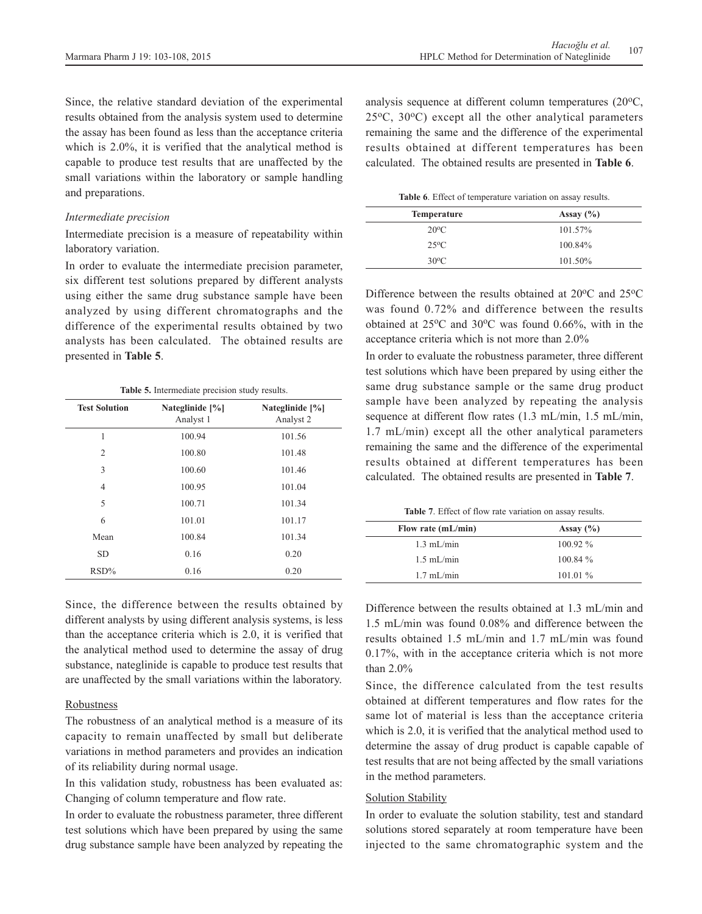Since, the relative standard deviation of the experimental results obtained from the analysis system used to determine the assay has been found as less than the acceptance criteria which is 2.0%, it is verified that the analytical method is capable to produce test results that are unaffected by the small variations within the laboratory or sample handling and preparations.

#### *Intermediate precision*

Intermediate precision is a measure of repeatability within laboratory variation.

In order to evaluate the intermediate precision parameter, six different test solutions prepared by different analysts using either the same drug substance sample have been analyzed by using different chromatographs and the difference of the experimental results obtained by two analysts has been calculated. The obtained results are presented in **Table 5**.

#### **Table 5.** Intermediate precision study results.

| <b>Test Solution</b> | Nateglinide [%]<br>Analyst 1 | Nateglinide [%]<br>Analyst 2 |
|----------------------|------------------------------|------------------------------|
| 1                    | 100.94                       | 101.56                       |
| $\overline{2}$       | 100.80                       | 101.48                       |
| 3                    | 100.60                       | 101.46                       |
| $\overline{4}$       | 100.95                       | 101.04                       |
| 5                    | 100.71                       | 101.34                       |
| 6                    | 101.01                       | 101.17                       |
| Mean                 | 100.84                       | 101.34                       |
| <b>SD</b>            | 0.16                         | 0.20                         |
| $RSD\%$              | 0.16                         | 0.20                         |

Since, the difference between the results obtained by different analysts by using different analysis systems, is less than the acceptance criteria which is 2.0, it is verified that the analytical method used to determine the assay of drug substance, nateglinide is capable to produce test results that are unaffected by the small variations within the laboratory.

## Robustness

The robustness of an analytical method is a measure of its capacity to remain unaffected by small but deliberate variations in method parameters and provides an indication of its reliability during normal usage.

In this validation study, robustness has been evaluated as: Changing of column temperature and flow rate.

In order to evaluate the robustness parameter, three different test solutions which have been prepared by using the same drug substance sample have been analyzed by repeating the analysis sequence at different column temperatures  $(20^{\circ}C,$  $25^{\circ}$ C,  $30^{\circ}$ C) except all the other analytical parameters remaining the same and the difference of the experimental results obtained at different temperatures has been calculated. The obtained results are presented in **Table 6**.

| <b>Table 6.</b> Effect of temperature variation on assay results. |  |  |  |  |  |  |
|-------------------------------------------------------------------|--|--|--|--|--|--|
|-------------------------------------------------------------------|--|--|--|--|--|--|

| <b>Temperature</b> | Assay $(\% )$ |
|--------------------|---------------|
| $20^{\circ}$ C     | 101.57%       |
| $25^{\circ}$ C     | $100.84\%$    |
| $30^{\circ}$ C     | 101.50%       |

Difference between the results obtained at 20°C and 25°C was found 0.72% and difference between the results obtained at  $25^{\circ}$ C and  $30^{\circ}$ C was found 0.66%, with in the acceptance criteria which is not more than 2.0%

In order to evaluate the robustness parameter, three different test solutions which have been prepared by using either the same drug substance sample or the same drug product sample have been analyzed by repeating the analysis sequence at different flow rates (1.3 mL/min, 1.5 mL/min, 1.7 mL/min) except all the other analytical parameters remaining the same and the difference of the experimental results obtained at different temperatures has been calculated. The obtained results are presented in **Table 7**.

**Table 7**. Effect of flow rate variation on assay results.

| Flow rate $(mL/min)$ | Assay $(\% )$ |
|----------------------|---------------|
| $1.3 \text{ mL/min}$ | $100.92\%$    |
| $1.5 \text{ mL/min}$ | 100.84%       |
| $1.7 \text{ mL/min}$ | 101.01 $\%$   |

Difference between the results obtained at 1.3 mL/min and 1.5 mL/min was found 0.08% and difference between the results obtained 1.5 mL/min and 1.7 mL/min was found 0.17%, with in the acceptance criteria which is not more than 2.0%

Since, the difference calculated from the test results obtained at different temperatures and flow rates for the same lot of material is less than the acceptance criteria which is 2.0, it is verified that the analytical method used to determine the assay of drug product is capable capable of test results that are not being affected by the small variations in the method parameters.

#### Solution Stability

In order to evaluate the solution stability, test and standard solutions stored separately at room temperature have been injected to the same chromatographic system and the